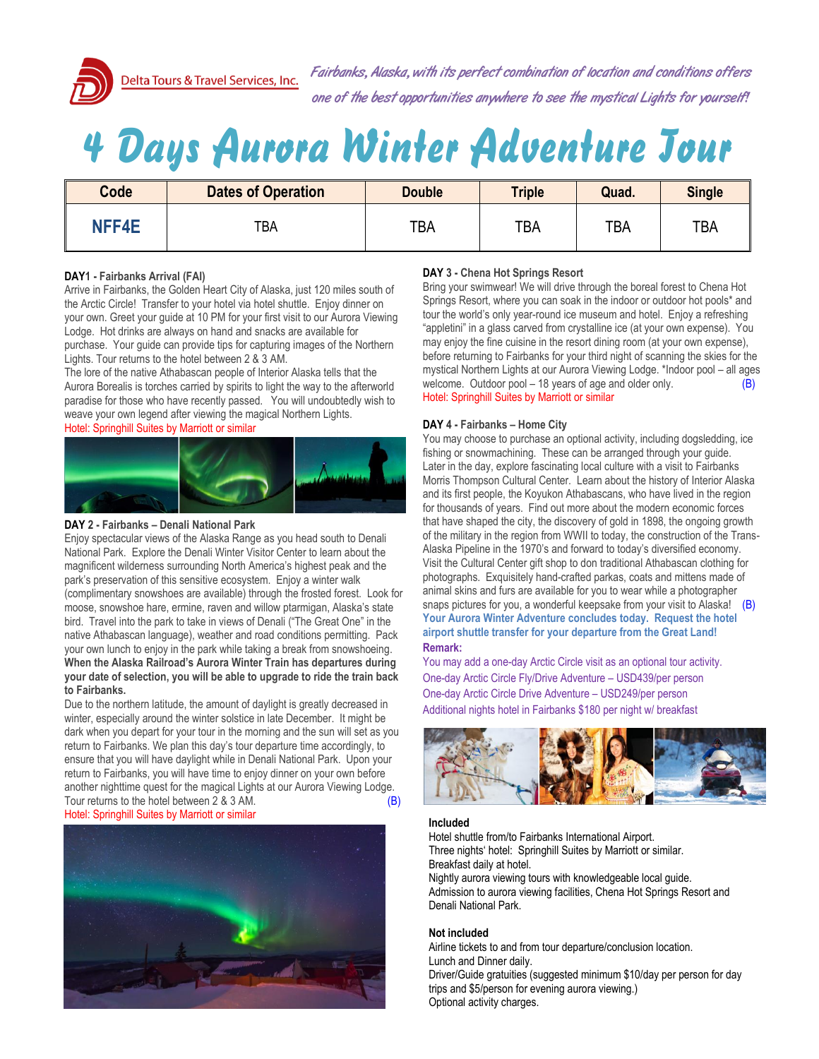

Delta Tours & Travel Services, Inc.

Fairbanks, Alaska, with its perfect combination of location and conditions offers one of the best opportunities anywhere to see the mystical Lights for yourself!

# *4 Days Aurora Winter Adventure Tour*

| <b>Code</b>  | <b>Dates of Operation</b> | <b>Double</b> | <b>Triple</b> | Quad.      | <b>Single</b> |
|--------------|---------------------------|---------------|---------------|------------|---------------|
| <b>NFF4E</b> | TBA                       | <b>TBA</b>    | TBA           | <b>TBA</b> | <b>TBA</b>    |

# **DAY1 - Fairbanks Arrival (FAI)**

Arrive in Fairbanks, the Golden Heart City of Alaska, just 120 miles south of the Arctic Circle! Transfer to your hotel via hotel shuttle. Enjoy dinner on your own. Greet your guide at 10 PM for your first visit to our Aurora Viewing Lodge. Hot drinks are always on hand and snacks are available for purchase. Your guide can provide tips for capturing images of the Northern Lights. Tour returns to the hotel between 2 & 3 AM.

The lore of the native Athabascan people of Interior Alaska tells that the Aurora Borealis is torches carried by spirits to light the way to the afterworld paradise for those who have recently passed. You will undoubtedly wish to weave your own legend after viewing the magical Northern Lights.

# Hotel: Springhill Suites by Marriott or similar



### **DAY 2 - Fairbanks – Denali National Park**

Enjoy spectacular views of the Alaska Range as you head south to Denali National Park. Explore the Denali Winter Visitor Center to learn about the magnificent wilderness surrounding North America's highest peak and the park's preservation of this sensitive ecosystem. Enjoy a winter walk (complimentary snowshoes are available) through the frosted forest. Look for moose, snowshoe hare, ermine, raven and willow ptarmigan, Alaska's state bird. Travel into the park to take in views of Denali ("The Great One" in the native Athabascan language), weather and road conditions permitting. Pack your own lunch to enjoy in the park while taking a break from snowshoeing. **When the Alaska Railroad's Aurora Winter Train has departures during your date of selection, you will be able to upgrade to ride the train back to Fairbanks.**

Due to the northern latitude, the amount of daylight is greatly decreased in winter, especially around the winter solstice in late December. It might be dark when you depart for your tour in the morning and the sun will set as you return to Fairbanks. We plan this day's tour departure time accordingly, to ensure that you will have daylight while in Denali National Park. Upon your return to Fairbanks, you will have time to enjoy dinner on your own before another nighttime quest for the magical Lights at our Aurora Viewing Lodge. Tour returns to the hotel between 2 & 3 AM. (B) Hotel: Springhill Suites by Marriott or similar



# **DAY 3 - Chena Hot Springs Resort**

Bring your swimwear! We will drive through the boreal forest to Chena Hot Springs Resort, where you can soak in the indoor or outdoor hot pools\* and tour the world's only year-round ice museum and hotel. Enjoy a refreshing "appletini" in a glass carved from crystalline ice (at your own expense). You may enjoy the fine cuisine in the resort dining room (at your own expense), before returning to Fairbanks for your third night of scanning the skies for the mystical Northern Lights at our Aurora Viewing Lodge. \*Indoor pool – all ages welcome. Outdoor pool  $-18$  years of age and older only.  $(B)$ Hotel: Springhill Suites by Marriott or similar

# **DAY 4 - Fairbanks – Home City**

You may choose to purchase an optional activity, including dogsledding, ice fishing or snowmachining. These can be arranged through your guide. Later in the day, explore fascinating local culture with a visit to Fairbanks Morris Thompson Cultural Center. Learn about the history of Interior Alaska and its first people, the Koyukon Athabascans, who have lived in the region for thousands of years. Find out more about the modern economic forces that have shaped the city, the discovery of gold in 1898, the ongoing growth of the military in the region from WWII to today, the construction of the Trans-Alaska Pipeline in the 1970's and forward to today's diversified economy. Visit the Cultural Center gift shop to don traditional Athabascan clothing for photographs. Exquisitely hand-crafted parkas, coats and mittens made of animal skins and furs are available for you to wear while a photographer snaps pictures for you, a wonderful keepsake from your visit to Alaska!  $(B)$ **Your Aurora Winter Adventure concludes today. Request the hotel airport shuttle transfer for your departure from the Great Land! Remark:**

You may add a one-day Arctic Circle visit as an optional tour activity. One-day Arctic Circle Fly/Drive Adventure – USD439/per person One-day Arctic Circle Drive Adventure – USD249/per person Additional nights hotel in Fairbanks \$180 per night w/ breakfast



#### **Included**

Hotel shuttle from/to Fairbanks International Airport. Three nights' hotel: Springhill Suites by Marriott or similar. Breakfast daily at hotel.

Nightly aurora viewing tours with knowledgeable local guide. Admission to aurora viewing facilities, Chena Hot Springs Resort and Denali National Park.

# **Not included**

Airline tickets to and from tour departure/conclusion location. Lunch and Dinner daily. Driver/Guide gratuities (suggested minimum \$10/day per person for day

trips and \$5/person for evening aurora viewing.) Optional activity charges.